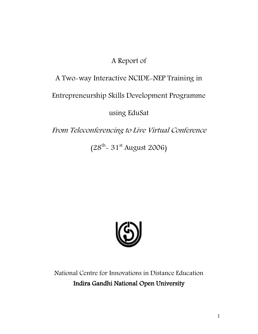## A Report of

# A Two-way Interactive NCIDE-NEP Training in

## Entrepreneurship Skills Development Programme

using EduSat

From Teleconferencing to Live Virtual Conference

(28<sup>th</sup> – 31<sup>st</sup> August 2006)



National Centre for Innovations in Distance Education Indira Gandhi National Open University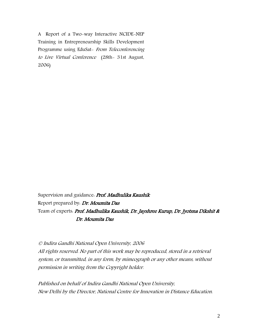A Report of a Two-way Interactive NCIDE-NEP Training in Entrepreneurship Skills Development Programme using EduSat- From Teleconferencing to Live Virtual Conference (28th- 31st August, 2006)

Supervision and guidance. Prof. Madhulika Kaushik Report prepared by. Dr. Moumita Das Team of experts. Prof. Madhulika Kaushik, Dr. Jayshree Kurup, Dr. Jyotsna Dikshit & Dr. Moumita Das

© Indira Gandhi National Open University, 2006 All rights reserved. No part of this work may be reproduced, stored in a retrieval system, or transmitted, in any form, by mimeograph or any other means, without permission in writing from the Copyright holder.

Published on behalf of Indira Gandhi National Open University, New Delhi by the Director, National Centre for Innovation in Distance Education.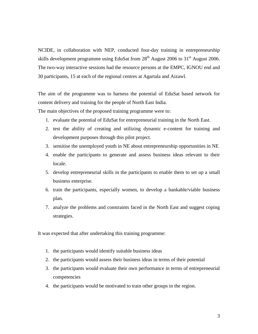NCIDE, in collaboration with NEP, conducted four-day training in entrepreneurship skills development programme using EduSat from  $28<sup>th</sup>$  August 2006 to  $31<sup>st</sup>$  August 2006. The two-way interactive sessions had the resource persons at the EMPC, IGNOU end and 30 participants, 15 at each of the regional centres at Agartala and Aizawl.

The aim of the programme was to harness the potential of EduSat based network for content delivery and training for the people of North East India.

The main objectives of the proposed training programme were to:

- 1. evaluate the potential of EduSat for entrepreneurial training in the North East.
- 2. test the ability of creating and utilizing dynamic e-content for training and development purposes through this pilot project.
- 3. sensitise the unemployed youth in NE about entrepreneurship opportunities in NE
- 4. enable the participants to generate and assess business ideas relevant to their locale.
- 5. develop entrepreneurial skills in the participants to enable them to set up a small business enterprise.
- 6. train the participants, especially women, to develop a bankable/viable business plan.
- 7. analyze the problems and constraints faced in the North East and suggest coping strategies.

It was expected that after undertaking this training programme:

- 1. the participants would identify suitable business ideas
- 2. the participants would assess their business ideas in terms of their potential
- 3. the participants would evaluate their own performance in terms of entrepreneurial competencies
- 4. the participants would be motivated to train other groups in the region.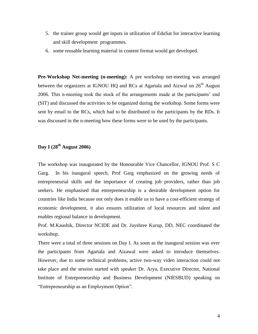- 5. the trainer group would get inputs in utilization of EduSat for interactive learning and skill development programmes.
- 6. some reusable learning material in content format would get developed.

**Pre-Workshop Net-meeting (n-meeting):** A pre workshop net-meeting was arranged between the organizers at IGNOU HQ and RCs at Agartala and Aizwal on  $26<sup>th</sup>$  August 2006. This n-meeting took the stock of the arrangements made at the participants' end (SIT) and discussed the activities to be organized during the workshop. Some forms were sent by email to the RCs, which had to be distributed to the participants by the RDs. It was discussed in the n-meeting how these forms were to be used by the participants.

## **Day I (28th August 2006)**

The workshop was inaugurated by the Honourable Vice Chancellor, IGNOU Prof. S C Garg. In his inaugural speech, Prof Garg emphasized on the growing needs of entrepreneurial skills and the importance of creating job providers, rather than job seekers. He emphasised that entrepreneurship is a desirable development option for countries like India because not only does it enable us to have a cost-efficient strategy of economic development, it also ensures utilization of local resources and talent and enables regional balance in development.

Prof. M.Kaushik, Director NCIDE and Dr. Jayshree Kurup, DD, NEC coordinated the workshop.

There were a total of three sessions on Day I. As soon as the inaugural session was over the participants from Agartala and Aizawal were asked to introduce themselves. However, due to some technical problems, active two-way video interaction could not take place and the session started with speaker Dr. Arya, Executive Director, National Institute of Entrepreneurship and Business Development (NIESBUD) speaking on "Entrepreneurship as an Employment Option".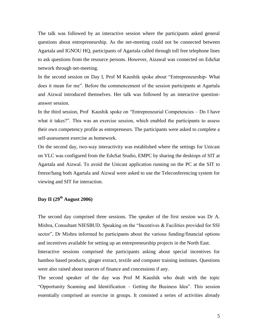The talk was followed by an interactive session where the participants asked general questions about entrepreneurship. As the net-meeting could not be connected between Agartala and IGNOU HQ, participants of Agartala called through toll free telephone lines to ask questions from the resource persons. However, Aizawal was connected on EduSat network through net-meeting.

In the second session on Day I, Prof M Kaushik spoke about "Entrepreneurship- What does it mean for me". Before the commencement of the session participants at Agartala and Aizwal introduced themselves. Her talk was followed by an interactive questionanswer session.

In the third session, Prof Kaushik spoke on "Entrepreneurial Competencies – Do I have what it takes?". This was an exercise session, which enabled the participants to assess their own competency profile as entrepreneurs. The participants were asked to complete a self-assessment exercise as homework.

On the second day, two-way interactivity was established where the settings for Unicast on VLC was configured from the EduSat Studio, EMPC by sharing the desktops of SIT at Agartala and Aizwal. To avoid the Unicast application running on the PC at the SIT to freeze/hang both Agartala and Aizwal were asked to use the Teleconferencing system for viewing and SIT for interaction.

## **Day II (29th August 2006)**

The second day comprised three sessions. The speaker of the first session was Dr A. Mishra, Consultant NIESBUD. Speaking on the "Incentives & Facilities provided for SSI sector", Dr Mishra informed he participants about the various funding/financial options and incentives available for setting up an entrepreneurship projects in the North East. Interactive sessions comprised the participants asking about special incentives for bamboo based products, ginger extract, textile and computer training institutes. Questions were also raised about sources of finance and concessions if any.

The second speaker of the day was Prof M Kaushik who dealt with the topic "Opportunity Scanning and Identification – Getting the Business Idea". This session essentially comprised an exercise in groups. It consisted a series of activities already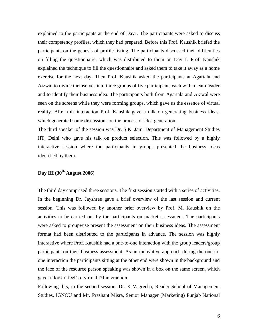explained to the participants at the end of Day1. The participants were asked to discuss their competency profiles, which they had prepared. Before this Prof. Kaushik briefed the participants on the genesis of profile listing. The participants discussed their difficulties on filling the questionnaire, which was distributed to them on Day 1. Prof. Kaushik explained the technique to fill the questionnaire and asked them to take it away as a home exercise for the next day. Then Prof. Kaushik asked the participants at Agartala and Aizwal to divide themselves into three groups of five participants each with a team leader and to identify their business idea. The participants both from Agartala and Aizwal were seen on the screens while they were forming groups, which gave us the essence of virtual reality. After this interaction Prof. Kaushik gave a talk on generating business ideas, which generated some discussions on the process of idea generation.

The third speaker of the session was Dr. S.K. Jain, Department of Management Studies IIT, Delhi who gave his talk on product selection. This was followed by a highly interactive session where the participants in groups presented the business ideas identified by them.

### **Day III (30th August 2006)**

The third day comprised three sessions. The first session started with a series of activities. In the beginning Dr. Jayshree gave a brief overview of the last session and current session. This was followed by another brief overview by Prof. M. Kaushik on the activities to be carried out by the participants on market assessment. The participants were asked to groupwise present the assessment on their business ideas. The assessment format had been distributed to the participants in advance. The session was highly interactive where Prof. Kaushik had a one-to-one interaction with the group leaders/group participants on their business assessment. As an innovative approach during the one-toone interaction the participants sitting at the other end were shown in the background and the face of the resource person speaking was shown in a box on the same screen, which gave a 'look n feel' of virtual f2f interaction.

Following this, in the second session, Dr. K Vagrecha, Reader School of Management Studies, IGNOU and Mr. Prashant Misra, Senior Manager (Marketing) Punjab National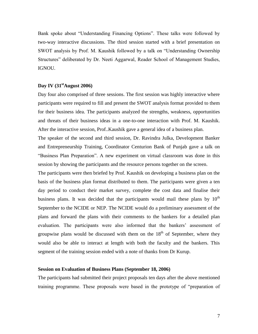Bank spoke about "Understanding Financing Options". These talks were followed by two-way interactive discussions. The third session started with a brief presentation on SWOT analysis by Prof. M. Kaushik followed by a talk on "Understanding Ownership Structures" deliberated by Dr. Neeti Aggarwal, Reader School of Management Studies, IGNOU.

### **Day IV (31stAugust 2006)**

Day four also comprised of three sessions. The first session was highly interactive where participants were required to fill and present the SWOT analysis format provided to them for their business idea. The participants analyzed the strengths, weakness, opportunities and threats of their business ideas in a one-to-one interaction with Prof. M. Kaushik. After the interactive session, Prof..Kaushik gave a general idea of a business plan.

The speaker of the second and third session, Dr. Ravindra Julka, Development Banker and Entrepreneurship Training, Coordinator Centurion Bank of Punjab gave a talk on "Business Plan Preparation". A new experiment on virtual classroom was done in this session by showing the participants and the resource persons together on the screen.

The participants were then briefed by Prof. Kaushik on developing a business plan on the basis of the business plan format distributed to them. The participants were given a ten day period to conduct their market survey, complete the cost data and finalise their business plans. It was decided that the participants would mail these plans by  $10<sup>th</sup>$ September to the NCIDE or NEP. The NCIDE would do a preliminary assessment of the plans and forward the plans with their comments to the bankers for a detailed plan evaluation. The participants were also informed that the bankers' assessment of groupwise plans would be discussed with them on the  $18<sup>th</sup>$  of September, where they would also be able to interact at length with both the faculty and the bankers. This segment of the training session ended with a note of thanks from Dr Kurup.

#### **Session on Evaluation of Business Plans (September 18, 2006)**

The participants had submitted their project proposals ten days after the above mentioned training programme. These proposals were based in the prototype of "preparation of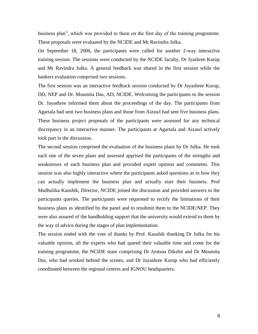business plan", which was provided to them on the first day of the training programme. These proposals were evaluated by the NCIDE and Mr Ravindra Julka.

On September 18, 2006, the participants were called for another 2-way interactive training session. The sessions were conducted by the NCIDE faculty, Dr Jyashree Kurup and Mr Ravindra Julka. A general feedback was shared in the first session while the bankers evaluation comprised two sessions.

The first session was an interactive feedback session conducted by Dr Jayashree Kurup, DD, NEP and Dr. Moumita Das, AD, NCIDE. Welcoming the participants to the session Dr. Jayashree informed them about the proceedings of the day. The participants from Agartala had sent two business plans and those from Aizawl had sent five business plans. These business project proposals of the participants were assessed for any technical discrepancy in an interactive manner. The participants at Agartala and Aizawl actively took part in the discussion.

The second session comprised the evaluation of the business plans by Dr Julka. He took each one of the seven plans and assessed apprised the participants of the strengths and weaknesses of each business plan and provided expert opinion and comments. This session was also highly interactive where the participants asked questions as to how they can actually implement the business plan and actually start their business. Prof Madhulika Kaushik, Director, NCIDE joined the discussion and provided answers to the participants queries. The participants were requested to rectify the limitations of their business plans as identified by the panel and to resubmit them to the NCIDE/NEP. They were also assured of the handholding support that the university would extend to them by the way of advice during the stages of plan implementation.

The session ended with the vote of thanks by Prof. Kaushik thanking Dr Julka for his valuable opinion, all the experts who had spared their valuable time and come for the training programme, the NCIDE team comprising Dr Jyotsna Dikshit and Dr Moumita Das, who had worked behind the scenes, and Dr Jayashree Kurup who had efficiently coordinated between the regional centres and IGNOU headquarters.